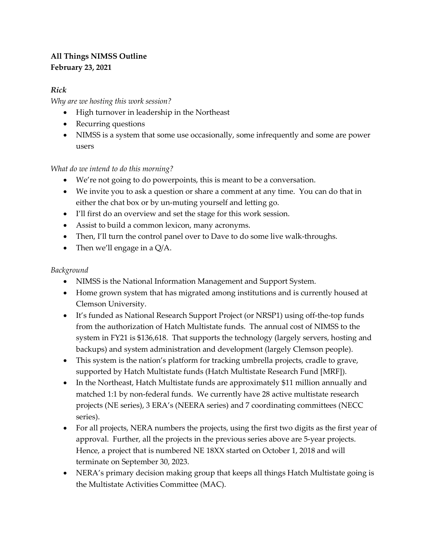# **All Things NIMSS Outline February 23, 2021**

## *Rick*

*Why are we hosting this work session?*

- High turnover in leadership in the Northeast
- Recurring questions
- NIMSS is a system that some use occasionally, some infrequently and some are power users

### *What do we intend to do this morning?*

- We're not going to do powerpoints, this is meant to be a conversation.
- We invite you to ask a question or share a comment at any time. You can do that in either the chat box or by un-muting yourself and letting go.
- I'll first do an overview and set the stage for this work session.
- Assist to build a common lexicon, many acronyms.
- Then, I'll turn the control panel over to Dave to do some live walk-throughs.
- Then we'll engage in a  $Q/A$ .

#### *Background*

- NIMSS is the National Information Management and Support System.
- Home grown system that has migrated among institutions and is currently housed at Clemson University.
- It's funded as National Research Support Project (or NRSP1) using off-the-top funds from the authorization of Hatch Multistate funds. The annual cost of NIMSS to the system in FY21 is \$136,618. That supports the technology (largely servers, hosting and backups) and system administration and development (largely Clemson people).
- This system is the nation's platform for tracking umbrella projects, cradle to grave, supported by Hatch Multistate funds (Hatch Multistate Research Fund [MRF]).
- In the Northeast, Hatch Multistate funds are approximately \$11 million annually and matched 1:1 by non-federal funds. We currently have 28 active multistate research projects (NE series), 3 ERA's (NEERA series) and 7 coordinating committees (NECC series).
- For all projects, NERA numbers the projects, using the first two digits as the first year of approval. Further, all the projects in the previous series above are 5-year projects. Hence, a project that is numbered NE 18XX started on October 1, 2018 and will terminate on September 30, 2023.
- NERA's primary decision making group that keeps all things Hatch Multistate going is the Multistate Activities Committee (MAC).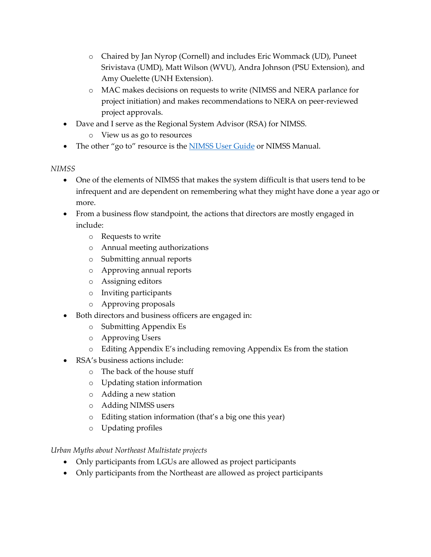- o Chaired by Jan Nyrop (Cornell) and includes Eric Wommack (UD), Puneet Srivistava (UMD), Matt Wilson (WVU), Andra Johnson (PSU Extension), and Amy Ouelette (UNH Extension).
- o MAC makes decisions on requests to write (NIMSS and NERA parlance for project initiation) and makes recommendations to NERA on peer-reviewed project approvals.
- Dave and I serve as the Regional System Advisor (RSA) for NIMSS.
	- o View us as go to resources
- The other "go to" resource is the [NIMSS User Guide](https://68e8efec-fd4d-4588-ad94-5d9e5e07218a.filesusr.com/ugd/4081a5_cff835f5f47f449d98977c17753e1dbe.pdf) or NIMSS Manual.

## *NIMSS*

- One of the elements of NIMSS that makes the system difficult is that users tend to be infrequent and are dependent on remembering what they might have done a year ago or more.
- From a business flow standpoint, the actions that directors are mostly engaged in include:
	- o Requests to write
	- o Annual meeting authorizations
	- o Submitting annual reports
	- o Approving annual reports
	- o Assigning editors
	- o Inviting participants
	- o Approving proposals
- Both directors and business officers are engaged in:
	- o Submitting Appendix Es
	- o Approving Users
	- o Editing Appendix E's including removing Appendix Es from the station
- RSA's business actions include:
	- o The back of the house stuff
	- o Updating station information
	- o Adding a new station
	- o Adding NIMSS users
	- o Editing station information (that's a big one this year)
	- o Updating profiles

## *Urban Myths about Northeast Multistate projects*

- Only participants from LGUs are allowed as project participants
- Only participants from the Northeast are allowed as project participants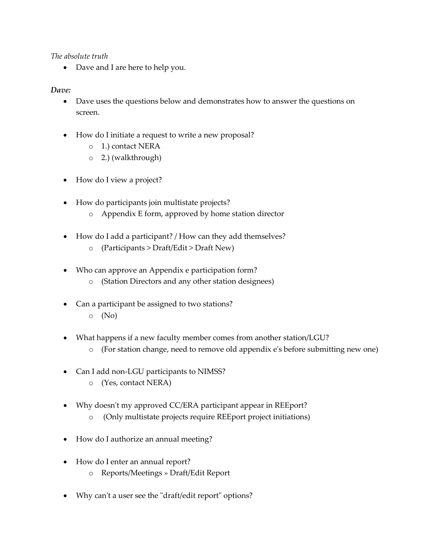*The absolute truth*

• Dave and I are here to help you.

#### *Dave:*

- Dave uses the questions below and demonstrates how to answer the questions on screen.
- How do I initiate a request to write a new proposal?
	- o 1.) contact NERA
	- o 2.) (walkthrough)
- How do I view a project?
- How do participants join multistate projects?
	- o Appendix E form, approved by home station director
- How do I add a participant? / How can they add themselves?
	- o (Participants > Draft/Edit > Draft New)
- Who can approve an Appendix e participation form?
	- o (Station Directors and any other station designees)
- Can a participant be assigned to two stations? o (No)
- What happens if a new faculty member comes from another station/LGU?
	- o (For station change, need to remove old appendix e's before submitting new one)
- Can I add non-LGU participants to NIMSS?
	- o (Yes, contact NERA)
- Why doesn't my approved CC/ERA participant appear in REEport?
	- o (Only multistate projects require REEport project initiations)
- How do I authorize an annual meeting?
- How do I enter an annual report?
	- o Reports/Meetings » Draft/Edit Report
- Why can't a user see the "draft/edit report" options?